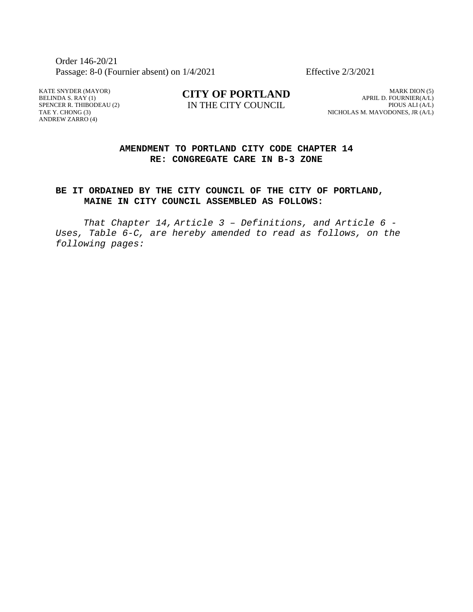Order 146-20/21 Passage: 8-0 (Fournier absent) on  $1/4/2021$  Effective  $2/3/2021$ 

KATE SNYDER (MAYOR) BELINDA S. RAY (1) SPENCER R. THIBODEAU (2) TAE Y. CHONG (3) ANDREW ZARRO (4)

**CITY OF PORTLAND** IN THE CITY COUNCIL

MARK DION (5) APRIL D. FOURNIER(A/L) PIOUS ALI (A/L) NICHOLAS M. MAVODONES, JR (A/L)

## **AMENDMENT TO PORTLAND CITY CODE CHAPTER 14 RE: CONGREGATE CARE IN B-3 ZONE**

## **BE IT ORDAINED BY THE CITY COUNCIL OF THE CITY OF PORTLAND, MAINE IN CITY COUNCIL ASSEMBLED AS FOLLOWS:**

*That Chapter 14, Article 3 – Definitions, and Article 6 -* Uses, Table 6-C, are hereby amended to read as follows, on the *following pages:*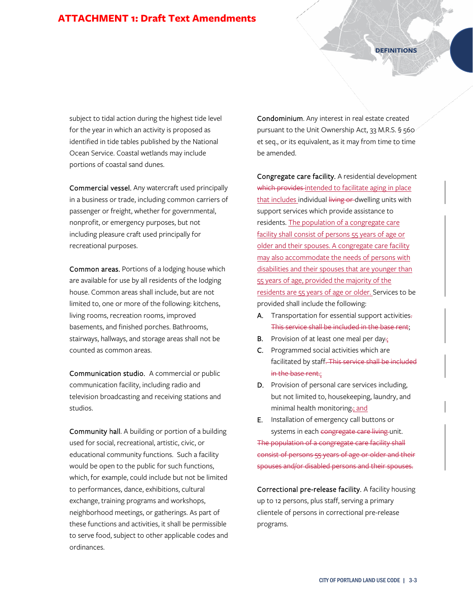## **ATTACHMENT 1: Draft Text Amendments**

**DEFINITIONS** 

subject to tidal action during the highest tide level for the year in which an activity is proposed as identified in tide tables published by the National Ocean Service. Coastal wetlands may include portions of coastal sand dunes.

Commercial vessel. Any watercraft used principally in a business or trade, including common carriers of passenger or freight, whether for governmental, nonprofit, or emergency purposes, but not including pleasure craft used principally for recreational purposes.

Common areas. Portions of a lodging house which are available for use by all residents of the lodging house. Common areas shall include, but are not limited to, one or more of the following: kitchens, living rooms, recreation rooms, improved basements, and finished porches. Bathrooms, stairways, hallways, and storage areas shall not be counted as common areas.

Communication studio. A commercial or public communication facility, including radio and television broadcasting and receiving stations and studios.

Community hall. A building or portion of a building used for social, recreational, artistic, civic, or educational community functions. Such a facility would be open to the public for such functions, which, for example, could include but not be limited to performances, dance, exhibitions, cultural exchange, training programs and workshops, neighborhood meetings, or gatherings. As part of these functions and activities, it shall be permissible to serve food, subject to other applicable codes and ordinances.

Condominium. Any interest in real estate created pursuant to the Unit Ownership Act, 33 M.R.S. § 560 et seq., or its equivalent, as it may from time to time be amended.

Congregate care facility. A residential development which provides intended to facilitate aging in place that includes individual living or dwelling units with support services which provide assistance to residents. The population of a congregate care facility shall consist of persons 55 years of age or older and their spouses. A congregate care facility may also accommodate the needs of persons with disabilities and their spouses that are younger than 55 years of age, provided the majority of the residents are 55 years of age or older. Services to be provided shall include the following:

- A. Transportation for essential support activities. This service shall be included in the base rent;
- **B.** Provision of at least one meal per day.;
- C. Programmed social activities which are facilitated by staff. This service shall be included in the base rent.;
- D. Provision of personal care services including, but not limited to, housekeeping, laundry, and minimal health monitoring.; and
- E. Installation of emergency call buttons or systems in each congregate care living unit.

The population of a congregate care facility shall consist of persons 55 years of age or older and their spouses and/or disabled persons and their spouses.

Correctional pre-release facility. A facility housing up to 12 persons, plus staff, serving a primary clientele of persons in correctional pre-release programs.